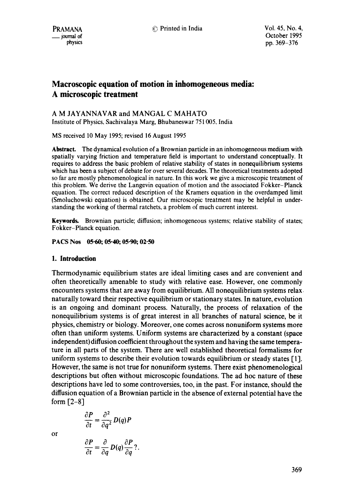PRAMANA **C** Printed in India Vol. 45, No. 4,

# **Macroscopic equation of motion in inhomogeneous media: A microscopic treatment**

### A M JAYANNAVAR and MANGAL C MAHATO Institute of Physics, Sachivalaya Marg, Bhubaneswar 751005, India

MS received 10 May 1995; revised 16 August 1995

**Abstract.** The dynamical evolution of a Brownian particle in an inhomogeneous medium with spatially varying friction and temperature field is important to understand conceptually. It requires to address the basic problem of relative stability of states in nonequilibrium systems which has been a subject of debate for over several decades. The theoretical treatments adopted so far are mostly phenomenological in nature. In this work we give a microscopic treatment of this problem. We derive the Langevin equation of motion and the associated Fokker-Planck equation. The correct reduced description of the Kramers equation in the overdamped limit (Smoluchowski equation) is obtained. Our microscopic treatment may be helpful in understanding the working of thermal ratchets, a problem of much current interest.

Keywords. Brownian particle; diffusion; inhomogeneous systems; relative stability of states; Fokker-Planck equation.

### **PACS Nos 05-60; 05.40; 05.90; 02.50**

### **1. Introduction**

Thermodynamic equilibrium states are ideal limiting cases and are convenient and often theoretically amenable to study with relative ease. However, one commonly encounters systems that are away from equilibrium. All nonequilibrium systems relax, naturally toward their respective equilibrium or stationary states. In nature, evolution is an ongoing and dominant process. Naturally, the process of relaxation of the nonequilibrium systems is of great interest in all branches of natural science, be it physics, chemistry or biology. Moreover, one comes across nonuniform systems more often than uniform systems. Uniform systems are characterized by a constant (space independent) diffusion coefficient throughout the system and having the same temperature in all parts of the system. There are well established theoretical formalisms for uniform systems to describe their evolution towards equilibrium or steady states [1]. However, the same is not true for nonuniform systems. There exist phenomenological descriptions but often without microscopic foundations. The ad hoc nature of these descriptions have led to some controversies, too, in the past. For instance, should the diffusion equation of a Brownian particle in the absence of external potential have **the**  form  $[2-8]$ 

$$
\frac{\partial P}{\partial t} = \frac{\partial^2}{\partial q^2} D(q) P
$$

 $\frac{\partial P}{\partial t} = \frac{\partial}{\partial t} D(q) \frac{\partial P}{\partial t} ?$ .

or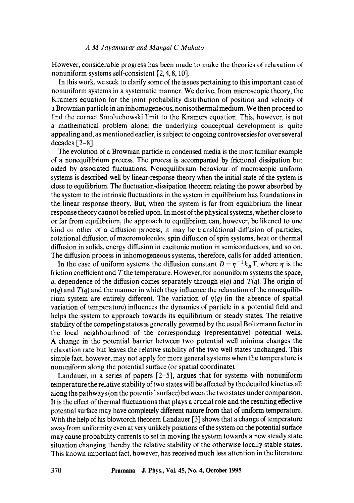### *A M Jayannavar and Mangal C Mahato*

However, considerable progress has been made to make the theories of relaxation of nonuniform systems self-consistent [2, 4, 8, 10].

In this work, we seek to clarify some of the issues pertaining to this important case of nonuniform systems in a systematic manner. We derive, from microscopic theory, the Kramers equation for the joint probability distribution of position and velocity of a Brownian particle in an inhomogeneous, nonisothermal medium. We then proceed to find the correct Smoluchowski limit to the Kramers equation. This, however, is not a mathematical problem alone; the underlying conceptual development is quite appealing and, as mentioned earlier, is subject to ongoing controversies for over several decades  $[2-8]$ .

The evolution of a Brownian particle in condensed media is the most familiar example of a nonequilibrium process. The process is accompanied by frictional dissipation but aided by associated fluctuations. Nonequilibrium behaviour of macroscopic uniform systems is described well by linear-response theory when the initial state of the system is close to equilibrium. The fluctuation-dissipation theorem relating the power absorbed by the system to the intrinsic fluctuations in the system in equilibrium has foundations in the linear response theory. But, when the system is far from equilibrium the linear response theory cannot be relied upon. In most of the physical systems, whether close to or far from equilibrium, the approach to equilibrium can, however, be likened to one kind or other of a diffusion process; it may be translational diffusion of particles, rotational diffusion of macromolecules, spin diffusion of spin systems, heat or thermal diffusion in solids, energy diffusion in excitonic motion in semiconductors, and so on. The diffusion process in inhomogeneous systems, therefore, calls for added attention.

In the case of uniform systems the diffusion constant  $D = \eta^{-1} k_B T$ , where  $\eta$  is the friction coefficient and  $T$  the temperature. However, for nonuniform systems the space, q, dependence of the diffusion comes separately through  $\eta(q)$  and  $T(q)$ . The origin of  $r(q)$  and  $T(q)$  and the manner in which they influence the relaxation of the nonequilibrium system are entirely different. The variation of  $\eta(q)$  (in the absence of spatial variation of temperature) influences the dynamics of particle in a potential field and helps the system to approach towards its equilibrium or steady states. The relative stability of the competing states is generally governed by the usual Boltzmann factor in the local neighbourhood of the corresponding (representative) potential wells. A change in the potential barrier between two potential well minima changes the relaxation rate but leaves the relative stability of the two well states unchanged. This simple fact, however, may not apply for more general systems when the temperature is nonuniform along the potential surface (or spatial coordinate).

Landauer, in a series of papers  $[2-5]$ , argues that for systems with nonuniform temperature the relative stability of two states will be affected by the detailed kinetics all along the pathways (on the potential surface) between the two states under comparison. It is the effect of thermal fluctuations that plays a crucial role and the resulting effective potential surface may have completely different nature from that of uniform temperature. With the help of his blowtorch theorem Landauer [3] shows that a change of temperature away from uniformity even at very unlikely positions of the system on the potential surface may cause probability currents to set in moving the system towards a new steady state situation changing thereby the relative stability of the otherwise locally stable states. This known important fact, however, has received much less attention in the literature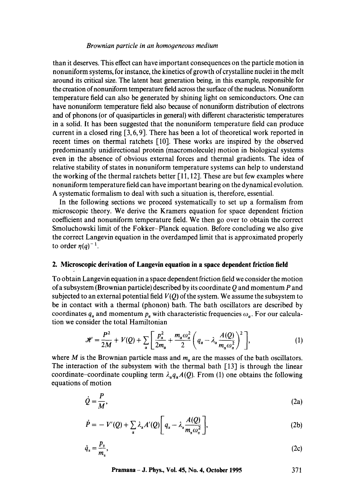#### *Brownian particle in an homogeneous medium*

than it deserves. This effect can have important consequences on the particle motion in nonuniform systems, for instance, the kinetics of growth of crystalline nuclei in the melt around its critical size. The latent heat generation being, in this example, responsible for the creation of nonuniform temperature field across the surface of the nucleus. Nonuniform temperature field can also be generated by shining light on semiconductors. One can have nonuniform temperature field also because of nonuniform distribution of electrons and of phonons (or of quasiparticles in general) with different characteristic temperatures in a solid. It has been suggested that the nonuniform temperature field can produce current in a closed ring [3, 6, 9]. There has been a lot of theoretical work reported in recent times on thermal ratchets [10]. These works are inspired by the observed predominantly unidirectional protein (macromolecule) motion in biological systems even in the absence of obvious external forces and thermal gradients. The idea of relative stability of states in nonuniform temperature systems can help to understand the working of the thermal ratchets better  $\lceil 11, 12 \rceil$ . These are but few examples where nonuniform temperature field can have important bearing on the dynamical evolution. A systematic formalism to deal with such a situation is, therefore, essential.

In the following sections we proceed systematically to set up a formalism from microscopic theory. We derive the Kramers equation for space dependent friction coefficient and nonuniform temperature field. We then go over to obtain the correct Smoluchowski limit of the Fokker-Planck equation. Before concluding we also give the correct Langevin equation in the overdamped limit that is approximated properly to order  $n(a)^{-1}$ .

### **2. Microscopic derivation of Langevin equation in a space dependent friction field**

To obtain Langevin equation in a space dependent friction field we consider the motion of a subsystem (Brownian particle) described by its coordinate  $Q$  and momentum  $P$  and subjected to an external potential field  $V(0)$  of the system. We assume the subsystem to be in contact with a thermal (phonon) bath. The bath oscillators are described by coordinates  $q_{\alpha}$  and momentum  $p_{\alpha}$  with characteristic frequencies  $\omega_{\alpha}$ . For our calculation we consider the total Hamiltonian

$$
\mathcal{H} = \frac{P^2}{2M} + V(Q) + \sum_{\alpha} \left[ \frac{p_{\alpha}^2}{2m_{\alpha}} + \frac{m_{\alpha}\omega_{\alpha}^2}{2} \left( q_{\alpha} - \lambda_{\alpha} \frac{A(Q)}{m_{\alpha}\omega_{\alpha}^2} \right)^2 \right],
$$
 (1)

where M is the Brownian particle mass and  $m<sub>a</sub>$  are the masses of the bath oscillators. The interaction of the subsystem with the thermal bath [13] is through the linear coordinate-coordinate coupling term  $\lambda_{\alpha}q_{\alpha}A(Q)$ . From (1) one obtains the following equations of motion

$$
\dot{Q} = \frac{P}{M},\tag{2a}
$$

$$
\dot{P} = -V'(Q) + \sum_{\alpha} \lambda_{\alpha} A'(Q) \left[ q_{\alpha} - \lambda_{\alpha} \frac{A(Q)}{m_{\alpha} \omega_{\alpha}^2} \right],
$$
\n(2b)

$$
\dot{q}_x = \frac{p_x}{m_x},\tag{2c}
$$

**Pramana - J. Phys., Vol. 45, No. 4, October 1995 371**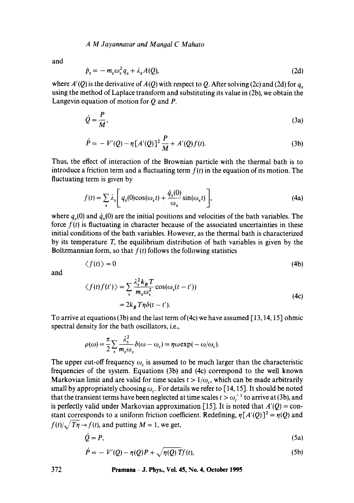A M Jayannavar and Mangal C Mahato

and

$$
\dot{p}_x = -m_x \omega_x^2 q_x + \lambda_x A(Q), \qquad (2d)
$$

where  $A'(Q)$  is the derivative of  $A(Q)$  with respect to Q. After solving (2c) and (2d) for  $q<sub>x</sub>$ using the method of Laplace transform and substituting its value in (2b), we obtain the Langevin equation of motion for  $Q$  and  $P$ .

$$
\dot{Q} = \frac{P}{M},\tag{3a}
$$

$$
\dot{P} = -V'(Q) - \eta [A'(Q)]^2 \frac{P}{M} + A'(Q)f(t).
$$
 (3b)

Thus, the effect of interaction of the Brownian particle with the thermal bath is to introduce a friction term and a fluctuating term  $f(t)$  in the equation of its motion. The fluctuating term is given by

$$
f(t) = \sum_{\alpha} \lambda_{\alpha} \left[ q_{\alpha}(0) \cos(\omega_{\alpha} t) + \frac{\dot{q}_{\alpha}(0)}{\omega_{\alpha}} \sin(\omega_{\alpha} t) \right],
$$
 (4a)

where  $q<sub>x</sub>(0)$  and  $\dot{q}<sub>x</sub>(0)$  are the initial positions and velocities of the bath variables. The force  $f(t)$  is fluctuating in character because of the associated uncertainties in these initial conditions of the bath variables. However, as the thermal bath is characterized by its temperature T, the equilibrium distribution of bath variables is given by the Boltzmannian form, so that  $f(t)$  follows the following statistics

$$
\langle f(t) \rangle = 0 \tag{4b}
$$

and

$$
\langle f(t)f(t')\rangle = \sum_{x} \frac{\lambda_x^2 k_B T}{m_x \omega_x^2} \cos(\omega_x(t - t'))
$$
  
=  $2k_B T \eta \delta(t - t')$ . (4c)

To arrive at equations (3b) and the last term of (4c) we have assumed [ 13, 14, 15] ohmic spectral density for the bath oscillators, i.e.,

$$
\rho(\omega) = \frac{\pi}{2} \sum_{\alpha} \frac{\lambda_{\alpha}^2}{m_{\alpha} \omega_{\alpha}} \delta(\omega - \omega_c) = \eta \omega \exp(-\omega/\omega_c).
$$

The upper cut-off frequency  $\omega_c$  is assumed to be much larger than the characteristic frequencies of the system. Equations (3b) and (4c) correspond to the well known Markovian limit and are valid for time scales  $t > 1/\omega_c$ , which can be made arbitrarily small by appropriately choosing  $\omega_c$ . For details we refer to [14, 15]. It should be noted that the transient terms have been neglected at time scales  $t > \omega_c^{-1}$  to arrive at (3b), and is perfectly valid under Markovian approximation [15]. It is noted that  $A'(Q) = \text{con-}$ stant corresponds to a uniform friction coefficient. Redefining,  $\eta[A'(Q)]^2 = \eta(Q)$  and  $f(t)/\sqrt{T\eta} \rightarrow f(t)$ , and putting  $M = 1$ , we get,

$$
\dot{Q} = P,\tag{5a}
$$

$$
\dot{P} = -V'(Q) - \eta(Q)P + \sqrt{\eta(Q)T}f(t),
$$
\n(5b)

### **372 Pramana - J. Phys., Vol. 45, No. 4, October 1995**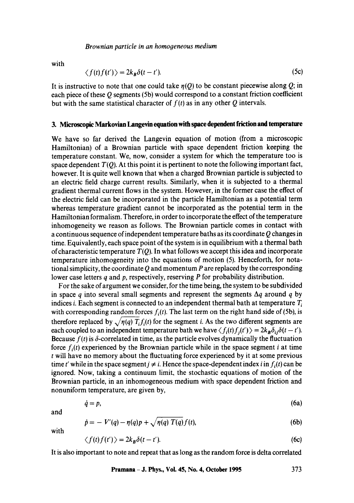*Brownian particle in an homogeneous medium* 

with

$$
\langle f(t)f(t')\rangle = 2k_B \delta(t-t'). \tag{5c}
$$

It is instructive to note that one could take  $\eta(Q)$  to be constant piecewise along Q; in each piece of these Q segments (5b) would correspond to a constant friction coefficient but with the same statistical character of  $f(t)$  as in any other Q intervals.

# 3. **Microscopic Markovian Langevin equation with space dependent friction and temperature**

We have so far derived the Langevin equation of motion (from a microscopic Hamiltonian) of a Brownian particle with space dependent friction keeping the temperature constant. We, now, consider a system for which the temperature too is space dependent  $T(Q)$ . At this point it is pertinent to note the following important fact, however, It is quite well known that when a charged Brownian particle is subjected to an electric field charge current results. Similarly, when it is subjected to a thermal gradient thermal current flows in the system. However, in the former case the effect of the electric field can be incorporated in the particle Hamiltonian as a potential term whereas temperature gradient cannot be incorporated as the potential term in the Hamiltonian formalism. Therefore, in order to incorporate the effect of the temperature inhomogeneity we reason as follows. The Brownian particle comes in contact with a continuous sequence of independent temperature baths as its coordinate Q changes in time. Equivalently, each space point of the system is in equilibrium with a thermal bath of characteristic temperature *T(Q).* In what follows we accept this idea and incorporate temperature inhomogeneity into the equations of motion (5). Henceforth, for notational simplicity, the coordinate  $Q$  and momentum  $P$  are replaced by the corresponding lower case letters q and p, respectively, reserving P for probability distribution.

For the sake of argument we consider, for the time being, the system to be subdivided in space q into several small segments and represent the segments  $\Delta q$  around q by indices *i*. Each segment is connected to an independent thermal bath at temperature  $T<sub>i</sub>$ with corresponding random forces  $f_i(t)$ . The last term on the right hand side of (5b), is therefore replaced by  $\sqrt{\eta(q)} T_i f_i(t)$  for the segment i. As the two different segments are each coupled to an independent temperature bath we have  $\langle f_i(t) f_j(t') \rangle = 2k_B \delta_{ij} \delta(t - t')$ . Because  $f(t)$  is  $\delta$ -correlated in time, as the particle evolves dynamically the fluctuation force  $f_i(t)$  experienced by the Brownian particle while in the space segment i at time t will have no memory about the fluctuating force experienced by it at some previous time t' while in the space segment  $j \neq i$ . Hence the space-dependent index i in  $f_i(t)$  can be ignored. Now, taking a continuum limit, the stochastic equations of motion of the Brownian particle, in an inhomogeneous medium with space dependent friction and nonuniform temperature, are given by,

$$
\dot{q} = p,\tag{6a}
$$

and

$$
\dot{p} = -V'(q) - \eta(q)p + \sqrt{\eta(q) T(q)} f(t), \tag{6b}
$$

with

$$
\langle f(t)f(t')\rangle = 2k_B \delta(t-t'). \tag{6c}
$$

It is also important to note and repeat that as long as the random force is delta correlated

**Pramana - J. Phys., Vol. 45, No. 4, October 1995 373**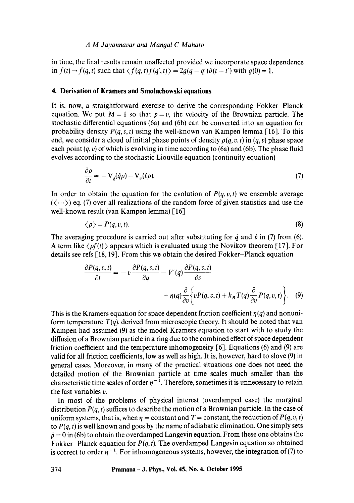### *A M Jayannavar and Mangal C Mahato*

in time, the final results remain unaffected provided we incorporate space dependence in  $f(t) \rightarrow f(q, t)$  such that  $\langle f(q, t) f(q', t) \rangle = 2g(q - q')\delta(t - t')$  with  $g(0) = 1$ .

#### **4. Derivation of Kramers and Smoluchowski equations**

It is, now, a straightforward exercise to derive the corresponding Fokker-Planck equation. We put  $M = 1$  so that  $p = v$ , the velocity of the Brownian particle. The stochastic differential equations (6a) and (6b) can be converted into an equation for probability density  $P(q, v, t)$  using the well-known van Kampen lemma [16]. To this end, we consider a cloud of initial phase points of density  $\rho(q, v, t)$  in  $(q, v)$  phase space each point  $(q, v)$  of which is evolving in time according to (6a) and (6b). The phase fluid evolves according to the stochastic Liouville equation (continuity equation)

$$
\frac{\partial \rho}{\partial t} = -\nabla_q(\dot{q}\rho) - \nabla_v(\dot{v}\rho). \tag{7}
$$

In order to obtain the equation for the evolution of  $P(q, v, t)$  we ensemble average  $(\langle \cdots \rangle)$  eq. (7) over all realizations of the random force of given statistics and use the well-known result (van Kampen lemma) [16]

$$
\langle \rho \rangle = P(q, v, t). \tag{8}
$$

The averaging procedure is carried out after substituting for  $\dot{q}$  and  $\dot{v}$  in (7) from (6). A term like  $\langle \rho f(t) \rangle$  appears which is evaluated using the Novikov theorem [17]. For details see refs [18, 19]. From this we obtain the desired Fokker-Planck equation

$$
\frac{\partial P(q, v, t)}{\partial t} = -v \frac{\partial P(q, v, t)}{\partial q} - V'(q) \frac{\partial P(q, v, t)}{\partial v} + \eta(q) \frac{\partial}{\partial v} \left\{ v P(q, v, t) + k_B T(q) \frac{\partial}{\partial v} P(q, v, t) \right\}.
$$
 (9)

This is the Kramers equation for space dependent friction coefficient  $\eta(q)$  and nonuniform temperature  $T(q)$ , derived from microscopic theory. It should be noted that van Kampen had assumed (9) as the model Kramers equation to start with to study the diffusion of a Brownian particle in a ring due to the combined effect of space dependent friction coefficient and the temperature inhomogeneity [6]. Equations (6) and (9) are valid for all friction coefficients, low as well as high. It is, however, hard to slove (9) in general cases. Moreover, in many of the practical situations one does not need the detailed motion of the Brownian particle at time scales much smaller than the characteristic time scales of order  $\eta^{-1}$ . Therefore, sometimes it is unnecessary to retain the fast variables v.

In most of the problems of physical interest (overdamped case) the marginal distribution  $P(q, t)$  suffices to describe the motion of a Brownian particle. In the case of uniform systems, that is, when  $\eta$  = constant and  $T$  = constant, the reduction of *P(q, v, t)* to  $P(q, t)$  is well known and goes by the name of adiabatic elimination. One simply sets  $\dot{p} = 0$  in (6b) to obtain the overdamped Langevin equation. From these one obtains the Fokker-Planck equation for *P(q, t).* The overdamped Langevin equation so obtained is correct to order  $\eta^{-1}$ . For inhomogeneous systems, however, the integration of (7) to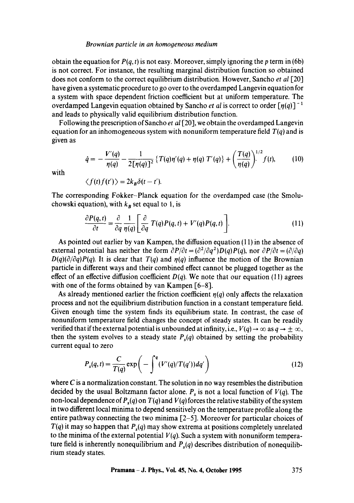#### *Brownian particle in an homogeneous medium*

obtain the equation for  $P(q, t)$  is not easy. Moreover, simply ignoring the p term in (6b) is not correct. For instance, the resulting marginal distribution function so obtained does not conform to the correct equilibrium distribution. However, Sancho *et al* [20] have given a systematic procedure to go over to the overdamped Langevin equation for a system with space dependent friction coefficient but at uniform temperature. The overdamped Langevin equation obtained by Sancho *et al* is correct to order  $\lceil n(q) \rceil^{-1}$ and leads to physically valid equilibrium distribution function.

Following the prescription of Sancho *et al* [20], we obtain the overdamped Langevin equation for an inhomogeneous system with nonuniform temperature field *T(q)* and is given as

$$
\dot{q} = -\frac{V'(q)}{\eta(q)} - \frac{1}{2\lceil \eta(q) \rceil^2} \left\{ T(q)\eta'(q) + \eta(q) \ T'(q) \right\} + \left( \frac{T(q)}{\eta(q)} \right)^{1/2} f(t), \tag{10}
$$

with

$$
\langle f(t)f(t')\rangle=2k_B\delta(t-t').
$$

The corresponding Fokker-Planck equation for the overdamped case (the Smoluchowski equation), with  $k_B$  set equal to 1, is

$$
\frac{\partial P(q,t)}{\partial t} = \frac{\partial}{\partial q} \frac{1}{\eta(q)} \left[ \frac{\partial}{\partial q} T(q) P(q,t) + V'(q) P(q,t) \right]. \tag{11}
$$

As pointed out earlier by van Kampen, the diffusion equation (11) in the absence of external potential has neither the form  $\partial P/\partial t = (\partial^2/\partial q^2)D(q)P(q)$ , nor  $\partial P/\partial t = (\partial/\partial q)$  $D(q)(\partial/\partial q)P(q)$ . It is clear that  $T(q)$  and  $\eta(q)$  influence the motion of the Brownian particle in different ways and their combined effect cannot be plugged together as the effect of an effective diffusion coefficient  $D(q)$ . We note that our equation (11) agrees with one of the forms obtained by van Kampen [6-8].

As already mentioned earlier the friction coefficient  $\eta(q)$  only affects the relaxation process and not the equilibrium distribution function in a constant temperature field. Given enough time the system finds its equilibrium state. In contrast, the case of nonuniform temperature field changes the concept of steady states. It can be readily verified that if the external potential is unbounded at infinity, i.e.,  $V(q) \rightarrow \infty$  as  $q \rightarrow \pm \infty$ , then the system evolves to a steady state  $P_s(q)$  obtained by setting the probability current equal to zero

$$
P_s(q,t) = \frac{C}{T(q)} \exp\left(-\int^q (V'(q)/T(q'))dq'\right)
$$
 (12)

where  $C$  is a normalization constant. The solution in no way resembles the distribution decided by the usual Boltzmann factor alone.  $P_s$  is not a local function of  $V(q)$ . The non-local dependence of  $P_{s}(q)$  on  $T(q)$  and  $V(q)$  forces the relative stability of the system in two different local minima to depend sensitively on the temperature profile along the entire pathway connecting the two minima [2-5], Moreover for particular choices of  $T(q)$  it may so happen that  $P_s(q)$  may show extrema at positions completely unrelated to the minima of the external potential  $V(q)$ . Such a system with nonuniform temperature field is inherently nonequilibrium and  $P_s(q)$  describes distribution of nonequilibrium steady states.